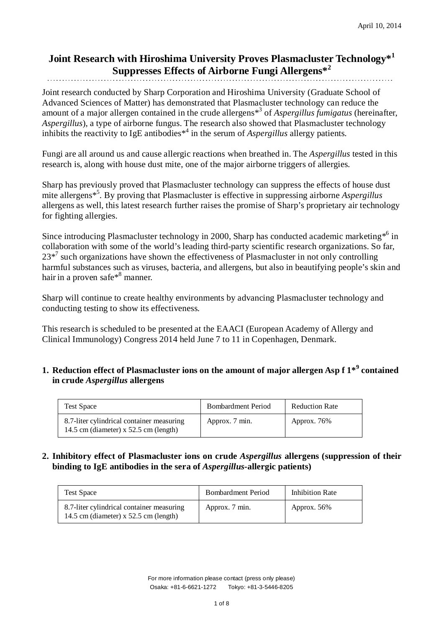## **Joint Research with Hiroshima University Proves Plasmacluster Technology\*<sup>1</sup> Suppresses Effects of Airborne Fungi Allergens\*<sup>2</sup>**

Joint research conducted by Sharp Corporation and Hiroshima University (Graduate School of Advanced Sciences of Matter) has demonstrated that Plasmacluster technology can reduce the amount of a major allergen contained in the crude allergens\*3 of *Aspergillus fumigatus* (hereinafter, *Aspergillus*), a type of airborne fungus. The research also showed that Plasmacluster technology inhibits the reactivity to IgE antibodies\*4 in the serum of *Aspergillus* allergy patients.

Fungi are all around us and cause allergic reactions when breathed in. The *Aspergillus* tested in this research is, along with house dust mite, one of the major airborne triggers of allergies.

Sharp has previously proved that Plasmacluster technology can suppress the effects of house dust mite allergens\*5 . By proving that Plasmacluster is effective in suppressing airborne *Aspergillus* allergens as well, this latest research further raises the promise of Sharp's proprietary air technology for fighting allergies.

Since introducing Plasmacluster technology in 2000, Sharp has conducted academic marketing  $*$ <sup>6</sup> in collaboration with some of the world's leading third-party scientific research organizations. So far,  $23*^7$  such organizations have shown the effectiveness of Plasmacluster in not only controlling harmful substances such as viruses, bacteria, and allergens, but also in beautifying people's skin and hair in a proven safe<sup>\*8</sup> manner.

Sharp will continue to create healthy environments by advancing Plasmacluster technology and conducting testing to show its effectiveness.

This research is scheduled to be presented at the EAACI (European Academy of Allergy and Clinical Immunology) Congress 2014 held June 7 to 11 in Copenhagen, Denmark.

### **1. Reduction effect of Plasmacluster ions on the amount of major allergen Asp f 1\*<sup>9</sup> contained in crude** *Aspergillus* **allergens**

| <b>Test Space</b>                                                                    | <b>Bombardment Period</b> | <b>Reduction Rate</b> |
|--------------------------------------------------------------------------------------|---------------------------|-----------------------|
| 8.7-liter cylindrical container measuring<br>14.5 cm (diameter) $x$ 52.5 cm (length) | Approx. 7 min.            | Approx. 76%           |

#### **2. Inhibitory effect of Plasmacluster ions on crude** *Aspergillus* **allergens (suppression of their binding to IgE antibodies in the sera of** *Aspergillus-***allergic patients)**

| <b>Test Space</b>                                                                    | <b>Bombardment Period</b> | Inhibition Rate |
|--------------------------------------------------------------------------------------|---------------------------|-----------------|
| 8.7-liter cylindrical container measuring<br>14.5 cm (diameter) $x$ 52.5 cm (length) | Approx. 7 min.            | Approx. $56\%$  |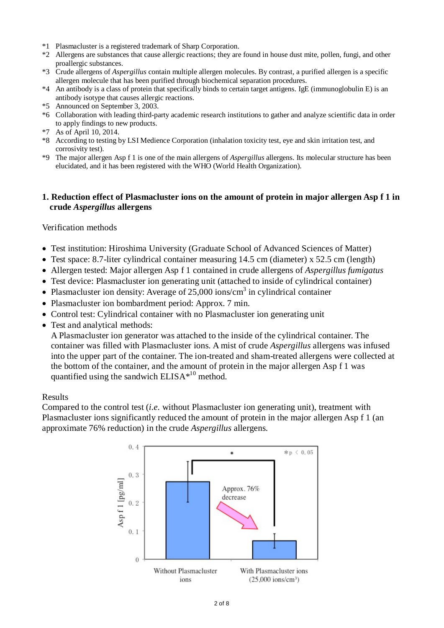- \*1 Plasmacluster is a registered trademark of Sharp Corporation.
- \*2 Allergens are substances that cause allergic reactions; they are found in house dust mite, pollen, fungi, and other proallergic substances.
- \*3 Crude allergens of *Aspergillus* contain multiple allergen molecules. By contrast, a purified allergen is a specific allergen molecule that has been purified through biochemical separation procedures.
- \*4 An antibody is a class of protein that specifically binds to certain target antigens. IgE (immunoglobulin E) is an antibody isotype that causes allergic reactions.
- \*5 Announced on September 3, 2003.
- \*6 Collaboration with leading third-party academic research institutions to gather and analyze scientific data in order to apply findings to new products.
- \*7 As of April 10, 2014.
- \*8 According to testing by LSI Medience Corporation (inhalation toxicity test, eye and skin irritation test, and corrosivity test).
- \*9 The major allergen Asp f 1 is one of the main allergens of *Aspergillus* allergens. Its molecular structure has been elucidated, and it has been registered with the WHO (World Health Organization).

#### **1. Reduction effect of Plasmacluster ions on the amount of protein in major allergen Asp f 1 in crude** *Aspergillus* **allergens**

#### Verification methods

- Test institution: Hiroshima University (Graduate School of Advanced Sciences of Matter)
- Test space: 8.7-liter cylindrical container measuring 14.5 cm (diameter) x 52.5 cm (length)
- Allergen tested: Major allergen Asp f 1 contained in crude allergens of *Aspergillus fumigatus*
- Test device: Plasmacluster ion generating unit (attached to inside of cylindrical container)
- Plasmacluster ion density: Average of  $25,000$  ions/cm<sup>3</sup> in cylindrical container
- Plasmacluster ion bombardment period: Approx. 7 min.
- Control test: Cylindrical container with no Plasmacluster ion generating unit
- Test and analytical methods:

A Plasmacluster ion generator was attached to the inside of the cylindrical container. The container was filled with Plasmacluster ions. A mist of crude *Aspergillus* allergens was infused into the upper part of the container. The ion-treated and sham-treated allergens were collected at the bottom of the container, and the amount of protein in the major allergen Asp f 1 was quantified using the sandwich  $ELISA*^{10}$  method.

#### Results

Compared to the control test (*i.e.* without Plasmacluster ion generating unit), treatment with Plasmacluster ions significantly reduced the amount of protein in the major allergen Asp f 1 (an approximate 76% reduction) in the crude *Aspergillus* allergens.

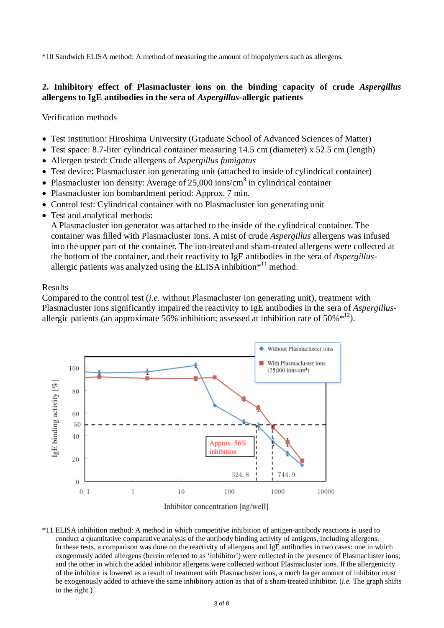\*10 Sandwich ELISA method: A method of measuring the amount of biopolymers such as allergens.

### **2. Inhibitory effect of Plasmacluster ions on the binding capacity of crude** *Aspergillus* **allergens to IgE antibodies in the sera of** *Aspergillus***-allergic patients**

Verification methods

- Test institution: Hiroshima University (Graduate School of Advanced Sciences of Matter)
- Test space: 8.7-liter cylindrical container measuring 14.5 cm (diameter) x 52.5 cm (length)
- Allergen tested: Crude allergens of *Aspergillus fumigatus*
- Test device: Plasmacluster ion generating unit (attached to inside of cylindrical container)
- Plasmacluster ion density: Average of  $25,000$  ions/cm<sup>3</sup> in cylindrical container
- Plasmacluster ion bombardment period: Approx. 7 min.
- Control test: Cylindrical container with no Plasmacluster ion generating unit
- Test and analytical methods:

A Plasmacluster ion generator was attached to the inside of the cylindrical container. The container was filled with Plasmacluster ions. A mist of crude *Aspergillus* allergens was infused into the upper part of the container. The ion-treated and sham-treated allergens were collected at the bottom of the container, and their reactivity to IgE antibodies in the sera of *Aspergillus*allergic patients was analyzed using the ELISA inhibition $*$ <sup>11</sup> method.

#### Results

Compared to the control test (*i.e.* without Plasmacluster ion generating unit), treatment with Plasmacluster ions significantly impaired the reactivity to IgE antibodies in the sera of *Aspergillus*allergic patients (an approximate 56% inhibition; assessed at inhibition rate of 50% $*^{12}$ ).



Inhibitor concentration [ng/well]

\*11 ELISA inhibition method: A method in which competitive inhibition of antigen-antibody reactions is used to conduct a quantitative comparative analysis of the antibody binding activity of antigens, including allergens. In these tests, a comparison was done on the reactivity of allergens and IgE antibodies in two cases: one in which exogenously added allergens (herein referred to as 'inhibitor') were collected in the presence of Plasmacluster ions; and the other in which the added inhibitor allergens were collected without Plasmacluster ions. If the allergenicity of the inhibitor is lowered as a result of treatment with Plasmacluster ions, a much larger amount of inhibitor must be exogenously added to achieve the same inhibitory action as that of a sham-treated inhibitor. (*i.e.* The graph shifts to the right.)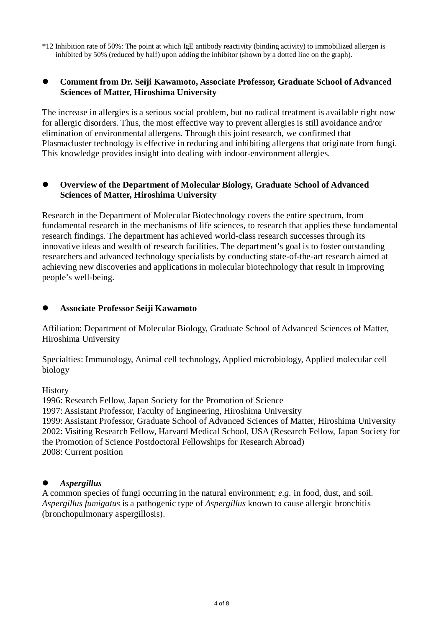\*12 Inhibition rate of 50%: The point at which IgE antibody reactivity (binding activity) to immobilized allergen is inhibited by 50% (reduced by half) upon adding the inhibitor (shown by a dotted line on the graph).

#### **Comment from Dr. Seiji Kawamoto, Associate Professor, Graduate School of Advanced Sciences of Matter, Hiroshima University**

The increase in allergies is a serious social problem, but no radical treatment is available right now for allergic disorders. Thus, the most effective way to prevent allergies is still avoidance and/or elimination of environmental allergens. Through this joint research, we confirmed that Plasmacluster technology is effective in reducing and inhibiting allergens that originate from fungi. This knowledge provides insight into dealing with indoor-environment allergies.

#### **Overview of the Department of Molecular Biology, Graduate School of Advanced Sciences of Matter, Hiroshima University**

Research in the Department of Molecular Biotechnology covers the entire spectrum, from fundamental research in the mechanisms of life sciences, to research that applies these fundamental research findings. The department has achieved world-class research successes through its innovative ideas and wealth of research facilities. The department's goal is to foster outstanding researchers and advanced technology specialists by conducting state-of-the-art research aimed at achieving new discoveries and applications in molecular biotechnology that result in improving people's well-being.

#### **Associate Professor Seiji Kawamoto**

Affiliation: Department of Molecular Biology, Graduate School of Advanced Sciences of Matter, Hiroshima University

Specialties: Immunology, Animal cell technology, Applied microbiology, Applied molecular cell biology

History

1996: Research Fellow, Japan Society for the Promotion of Science 1997: Assistant Professor, Faculty of Engineering, Hiroshima University 1999: Assistant Professor, Graduate School of Advanced Sciences of Matter, Hiroshima University 2002: Visiting Research Fellow, Harvard Medical School, USA (Research Fellow, Japan Society for the Promotion of Science Postdoctoral Fellowships for Research Abroad) 2008: Current position

### *Aspergillus*

A common species of fungi occurring in the natural environment; *e.g.* in food, dust, and soil. *Aspergillus fumigatus* is a pathogenic type of *Aspergillus* known to cause allergic bronchitis (bronchopulmonary aspergillosis).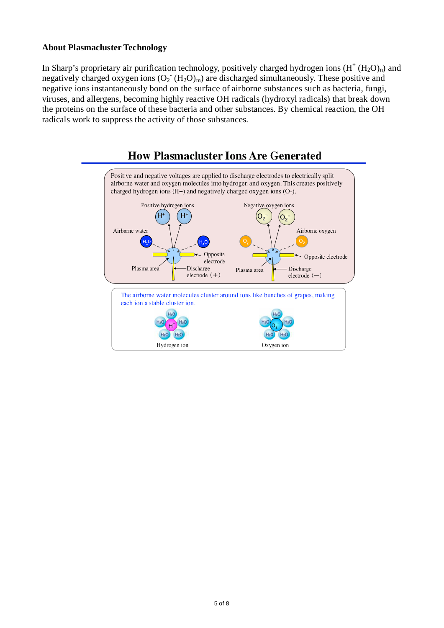#### **About Plasmacluster Technology**

In Sharp's proprietary air purification technology, positively charged hydrogen ions  $(H<sup>+</sup> (H<sub>2</sub>O)<sub>n</sub>)$  and negatively charged oxygen ions  $(O_2^-(H_2O)_m)$  are discharged simultaneously. These positive and negative ions instantaneously bond on the surface of airborne substances such as bacteria, fungi, viruses, and allergens, becoming highly reactive OH radicals (hydroxyl radicals) that break down the proteins on the surface of these bacteria and other substances. By chemical reaction, the OH radicals work to suppress the activity of those substances.



## **How Plasmacluster Ions Are Generated**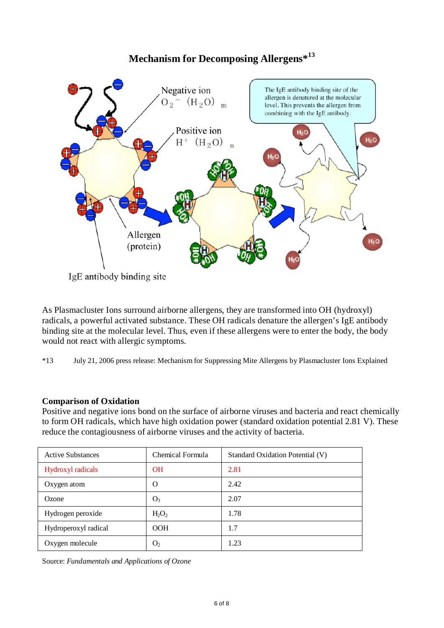# **Mechanism for Decomposing Allergens\*<sup>13</sup>**



As Plasmacluster Ions surround airborne allergens, they are transformed into OH (hydroxyl) radicals, a powerful activated substance. These OH radicals denature the allergen's IgE antibody binding site at the molecular level. Thus, even if these allergens were to enter the body, the body would not react with allergic symptoms.

\*13 July 21, 2006 press release: Mechanism for Suppressing Mite Allergens by Plasmacluster Ions Explained

### **Comparison of Oxidation**

Positive and negative ions bond on the surface of airborne viruses and bacteria and react chemically to form OH radicals, which have high oxidation power (standard oxidation potential 2.81 V). These reduce the contagiousness of airborne viruses and the activity of bacteria.

| <b>Active Substances</b> | Chemical Formula | Standard Oxidation Potential (V) |
|--------------------------|------------------|----------------------------------|
| Hydroxyl radicals        | <b>OH</b>        | 2.81                             |
| Oxygen atom              | O                | 2.42                             |
| Ozone                    | O <sub>3</sub>   | 2.07                             |
| Hydrogen peroxide        | $H_2O_2$         | 1.78                             |
| Hydroperoxyl radical     | <b>OOH</b>       | 1.7                              |
| Oxygen molecule          | O <sub>2</sub>   | 1.23                             |

Source: *Fundamentals and Applications of Ozone*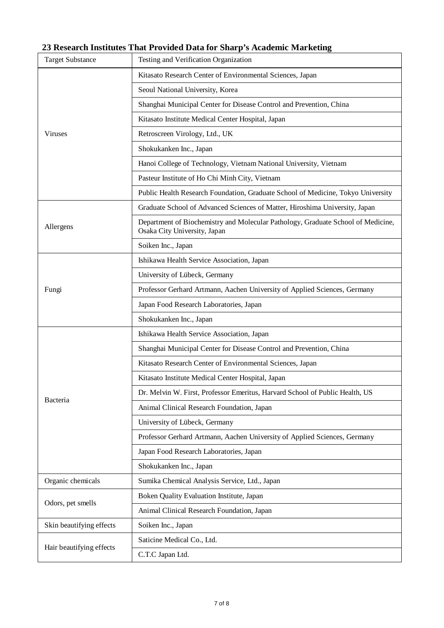# **23 Research Institutes That Provided Data for Sharp's Academic Marketing**

| <b>Target Substance</b>  | Testing and Verification Organization                                                                            |
|--------------------------|------------------------------------------------------------------------------------------------------------------|
|                          | Kitasato Research Center of Environmental Sciences, Japan                                                        |
|                          | Seoul National University, Korea                                                                                 |
|                          | Shanghai Municipal Center for Disease Control and Prevention, China                                              |
|                          | Kitasato Institute Medical Center Hospital, Japan                                                                |
| <b>Viruses</b>           | Retroscreen Virology, Ltd., UK                                                                                   |
|                          | Shokukanken Inc., Japan                                                                                          |
|                          | Hanoi College of Technology, Vietnam National University, Vietnam                                                |
|                          | Pasteur Institute of Ho Chi Minh City, Vietnam                                                                   |
|                          | Public Health Research Foundation, Graduate School of Medicine, Tokyo University                                 |
|                          | Graduate School of Advanced Sciences of Matter, Hiroshima University, Japan                                      |
| Allergens                | Department of Biochemistry and Molecular Pathology, Graduate School of Medicine,<br>Osaka City University, Japan |
|                          | Soiken Inc., Japan                                                                                               |
|                          | Ishikawa Health Service Association, Japan                                                                       |
|                          | University of Lübeck, Germany                                                                                    |
| Fungi                    | Professor Gerhard Artmann, Aachen University of Applied Sciences, Germany                                        |
|                          | Japan Food Research Laboratories, Japan                                                                          |
|                          | Shokukanken Inc., Japan                                                                                          |
|                          | Ishikawa Health Service Association, Japan                                                                       |
|                          | Shanghai Municipal Center for Disease Control and Prevention, China                                              |
|                          | Kitasato Research Center of Environmental Sciences, Japan                                                        |
|                          | Kitasato Institute Medical Center Hospital, Japan                                                                |
|                          | Dr. Melvin W. First, Professor Emeritus, Harvard School of Public Health, US                                     |
| Bacteria                 | Animal Clinical Research Foundation, Japan                                                                       |
|                          | University of Lübeck, Germany                                                                                    |
|                          | Professor Gerhard Artmann, Aachen University of Applied Sciences, Germany                                        |
|                          | Japan Food Research Laboratories, Japan                                                                          |
|                          | Shokukanken Inc., Japan                                                                                          |
| Organic chemicals        | Sumika Chemical Analysis Service, Ltd., Japan                                                                    |
| Odors, pet smells        | Boken Quality Evaluation Institute, Japan                                                                        |
|                          | Animal Clinical Research Foundation, Japan                                                                       |
| Skin beautifying effects | Soiken Inc., Japan                                                                                               |
| Hair beautifying effects | Saticine Medical Co., Ltd.                                                                                       |
|                          | C.T.C Japan Ltd.                                                                                                 |